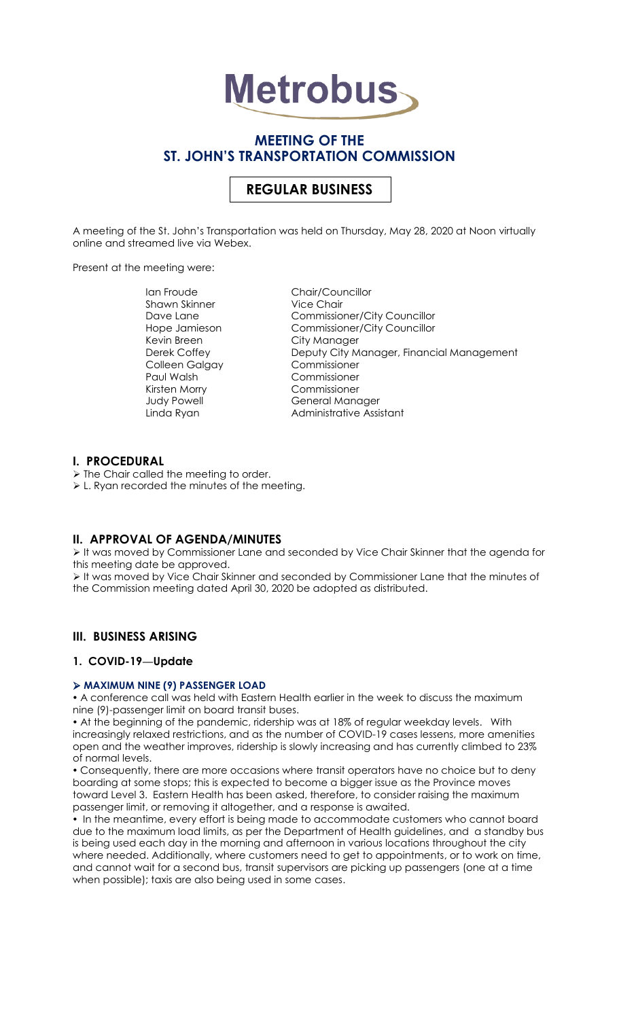

# **MEETING OF THE ST. JOHN'S TRANSPORTATION COMMISSION**

# **REGULAR BUSINESS**

A meeting of the St. John's Transportation was held on Thursday, May 28, 2020 at Noon virtually online and streamed live via Webex.

Present at the meeting were:

Ian Froude Chair/Councillor Shawn Skinner Vice Chair Kevin Breen City Manager Colleen Galgay Paul Walsh Commissioner Kirsten Morry Commissioner

Dave Lane Commissioner/City Councillor Hope Jamieson Commissioner/City Councillor Derek Coffey Deputy City Manager, Financial Management General Manager Linda Ryan **Administrative Assistant** 

# **I. PROCEDURAL**

> The Chair called the meeting to order.

L. Ryan recorded the minutes of the meeting.

# **II. APPROVAL OF AGENDA/MINUTES**

It was moved by Commissioner Lane and seconded by Vice Chair Skinner that the agenda for this meeting date be approved.

It was moved by Vice Chair Skinner and seconded by Commissioner Lane that the minutes of the Commission meeting dated April 30, 2020 be adopted as distributed.

# **III. BUSINESS ARISING**

### **1. COVID-19—Update**

### **MAXIMUM NINE (9) PASSENGER LOAD**

 A conference call was held with Eastern Health earlier in the week to discuss the maximum nine (9)-passenger limit on board transit buses.

 At the beginning of the pandemic, ridership was at 18% of regular weekday levels. With increasingly relaxed restrictions, and as the number of COVID-19 cases lessens, more amenities open and the weather improves, ridership is slowly increasing and has currently climbed to 23% of normal levels.

 Consequently, there are more occasions where transit operators have no choice but to deny boarding at some stops; this is expected to become a bigger issue as the Province moves toward Level 3. Eastern Health has been asked, therefore, to consider raising the maximum passenger limit, or removing it altogether, and a response is awaited.

 In the meantime, every effort is being made to accommodate customers who cannot board due to the maximum load limits, as per the Department of Health guidelines, and a standby bus is being used each day in the morning and afternoon in various locations throughout the city where needed. Additionally, where customers need to get to appointments, or to work on time, and cannot wait for a second bus, transit supervisors are picking up passengers (one at a time when possible); taxis are also being used in some cases.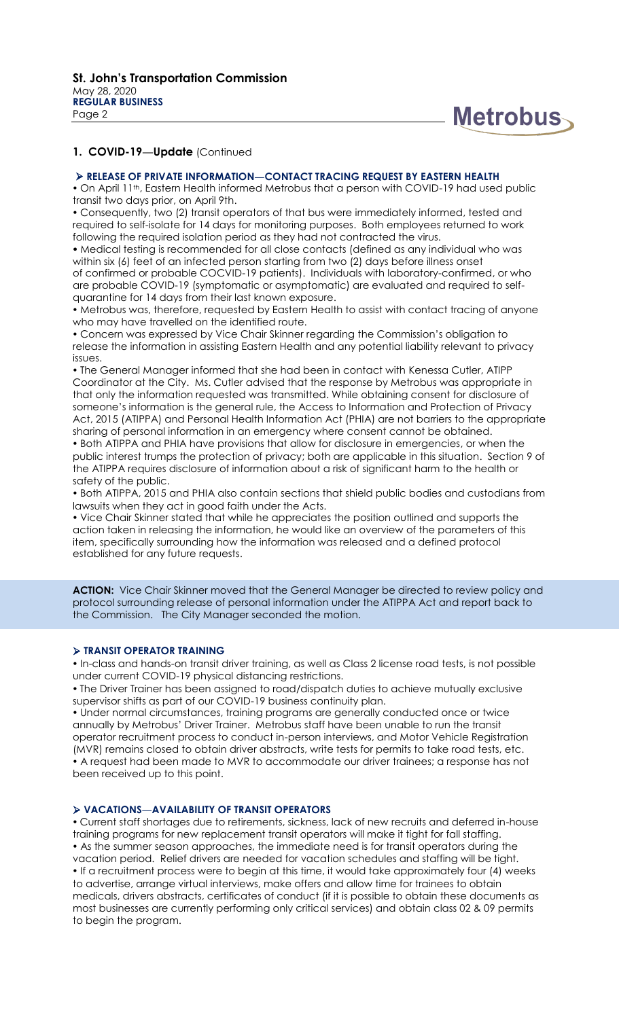

#### **RELEASE OF PRIVATE INFORMATION—CONTACT TRACING REQUEST BY EASTERN HEALTH**

. On April 11<sup>th</sup>, Eastern Health informed Metrobus that a person with COVID-19 had used public transit two days prior, on April 9th.

 Consequently, two (2) transit operators of that bus were immediately informed, tested and required to self-isolate for 14 days for monitoring purposes. Both employees returned to work following the required isolation period as they had not contracted the virus.

 Medical testing is recommended for all close contacts (defined as any individual who was within six (6) feet of an infected person starting from two (2) days before illness onset of confirmed or probable COCVID-19 patients). Individuals with laboratory-confirmed, or who are probable COVID-19 (symptomatic or asymptomatic) are evaluated and required to selfquarantine for 14 days from their last known exposure.

 Metrobus was, therefore, requested by Eastern Health to assist with contact tracing of anyone who may have travelled on the identified route.

 Concern was expressed by Vice Chair Skinner regarding the Commission's obligation to release the information in assisting Eastern Health and any potential liability relevant to privacy issues.

 The General Manager informed that she had been in contact with Kenessa Cutler, ATIPP Coordinator at the City. Ms. Cutler advised that the response by Metrobus was appropriate in that only the information requested was transmitted. While obtaining consent for disclosure of someone's information is the general rule, the Access to Information and Protection of Privacy Act, 2015 (ATIPPA) and Personal Health Information Act (PHIA) are not barriers to the appropriate sharing of personal information in an emergency where consent cannot be obtained.

 Both ATIPPA and PHIA have provisions that allow for disclosure in emergencies, or when the public interest trumps the protection of privacy; both are applicable in this situation. Section 9 of the ATIPPA requires disclosure of information about a risk of significant harm to the health or safety of the public.

 Both ATIPPA, 2015 and PHIA also contain sections that shield public bodies and custodians from lawsuits when they act in good faith under the Acts.

 Vice Chair Skinner stated that while he appreciates the position outlined and supports the action taken in releasing the information, he would like an overview of the parameters of this item, specifically surrounding how the information was released and a defined protocol established for any future requests.

ACTION: Vice Chair Skinner moved that the General Manager be directed to review policy and protocol surrounding release of personal information under the ATIPPA Act and report back to the Commission. The City Manager seconded the motion.

### **TRANSIT OPERATOR TRAINING**

. In-class and hands-on transit driver training, as well as Class 2 license road tests, is not possible under current COVID-19 physical distancing restrictions.

 The Driver Trainer has been assigned to road/dispatch duties to achieve mutually exclusive supervisor shifts as part of our COVID-19 business continuity plan.

 Under normal circumstances, training programs are generally conducted once or twice annually by Metrobus' Driver Trainer. Metrobus staff have been unable to run the transit operator recruitment process to conduct in-person interviews, and Motor Vehicle Registration (MVR) remains closed to obtain driver abstracts, write tests for permits to take road tests, etc. A request had been made to MVR to accommodate our driver trainees; a response has not been received up to this point.

### **VACATIONS—AVAILABILITY OF TRANSIT OPERATORS**

 Current staff shortages due to retirements, sickness, lack of new recruits and deferred in-house training programs for new replacement transit operators will make it tight for fall staffing. As the summer season approaches, the immediate need is for transit operators during the vacation period. Relief drivers are needed for vacation schedules and staffing will be tight. . If a recruitment process were to begin at this time, it would take approximately four (4) weeks to advertise, arrange virtual interviews, make offers and allow time for trainees to obtain medicals, drivers abstracts, certificates of conduct (if it is possible to obtain these documents as most businesses are currently performing only critical services) and obtain class 02 & 09 permits to begin the program.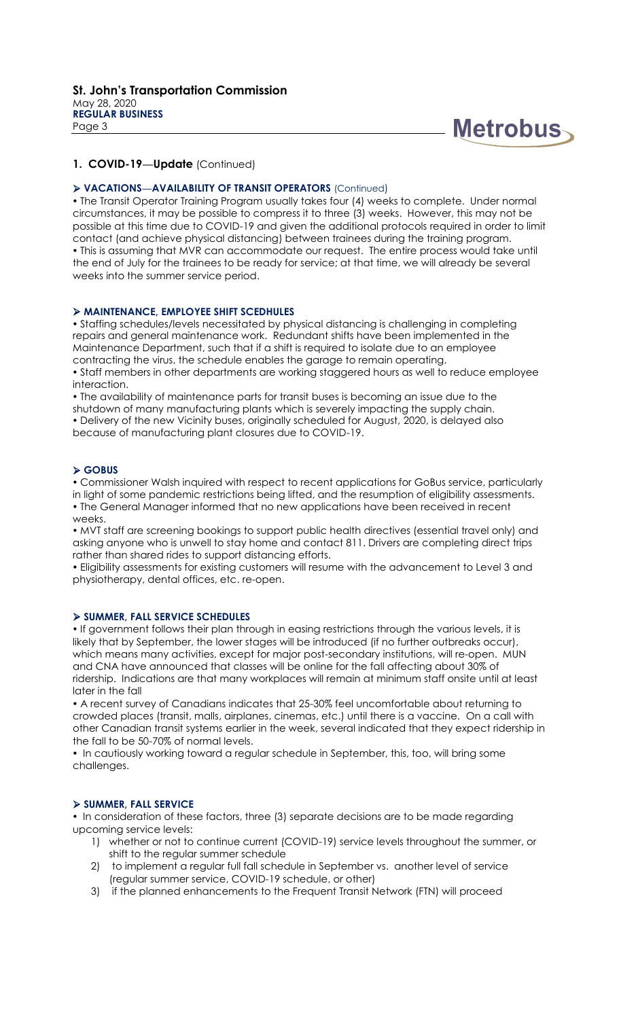

### **VACATIONS—AVAILABILITY OF TRANSIT OPERATORS** (Continued)

 The Transit Operator Training Program usually takes four (4) weeks to complete. Under normal circumstances, it may be possible to compress it to three (3) weeks. However, this may not be possible at this time due to COVID-19 and given the additional protocols required in order to limit contact (and achieve physical distancing) between trainees during the training program. This is assuming that MVR can accommodate our request. The entire process would take until the end of July for the trainees to be ready for service; at that time, we will already be several weeks into the summer service period.

### **MAINTENANCE, EMPLOYEE SHIFT SCEDHULES**

 Staffing schedules/levels necessitated by physical distancing is challenging in completing repairs and general maintenance work. Redundant shifts have been implemented in the Maintenance Department, such that if a shift is required to isolate due to an employee contracting the virus, the schedule enables the garage to remain operating.

 Staff members in other departments are working staggered hours as well to reduce employee interaction.

 The availability of maintenance parts for transit buses is becoming an issue due to the shutdown of many manufacturing plants which is severely impacting the supply chain. Delivery of the new Vicinity buses, originally scheduled for August, 2020, is delayed also because of manufacturing plant closures due to COVID-19.

#### **GOBUS**

 Commissioner Walsh inquired with respect to recent applications for GoBus service, particularly in light of some pandemic restrictions being lifted, and the resumption of eligibility assessments. The General Manager informed that no new applications have been received in recent weeks.

 MVT staff are screening bookings to support public health directives (essential travel only) and asking anyone who is unwell to stay home and contact 811. Drivers are completing direct trips rather than shared rides to support distancing efforts.

 Eligibility assessments for existing customers will resume with the advancement to Level 3 and physiotherapy, dental offices, etc. re-open.

#### **SUMMER, FALL SERVICE SCHEDULES**

. If government follows their plan through in easing restrictions through the various levels, it is likely that by September, the lower stages will be introduced (if no further outbreaks occur), which means many activities, except for major post-secondary institutions, will re-open. MUN and CNA have announced that classes will be online for the fall affecting about 30% of ridership. Indications are that many workplaces will remain at minimum staff onsite until at least later in the fall

 A recent survey of Canadians indicates that 25-30% feel uncomfortable about returning to crowded places (transit, malls, airplanes, cinemas, etc.) until there is a vaccine. On a call with other Canadian transit systems earlier in the week, several indicated that they expect ridership in the fall to be 50-70% of normal levels.

• In cautiously working toward a regular schedule in September, this, too, will bring some challenges.

#### **SUMMER, FALL SERVICE**

• In consideration of these factors, three (3) separate decisions are to be made regarding upcoming service levels:

- 1) whether or not to continue current (COVID-19) service levels throughout the summer, or shift to the regular summer schedule
- 2) to implement a regular full fall schedule in September vs. another level of service (regular summer service, COVID-19 schedule, or other)
- 3) if the planned enhancements to the Frequent Transit Network (FTN) will proceed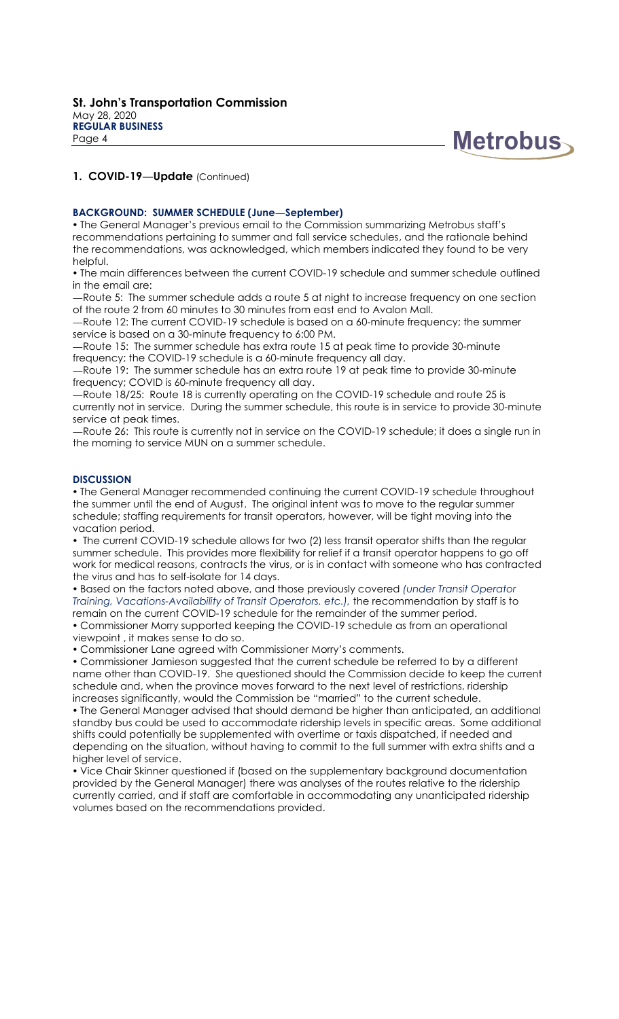

#### **BACKGROUND: SUMMER SCHEDULE (June—September)**

 The General Manager's previous email to the Commission summarizing Metrobus staff's recommendations pertaining to summer and fall service schedules, and the rationale behind the recommendations, was acknowledged, which members indicated they found to be very helpful.

• The main differences between the current COVID-19 schedule and summer schedule outlined in the email are:

—Route 5: The summer schedule adds a route 5 at night to increase frequency on one section of the route 2 from 60 minutes to 30 minutes from east end to Avalon Mall.

—Route 12: The current COVID-19 schedule is based on a 60-minute frequency; the summer service is based on a 30-minute frequency to 6:00 PM.

—Route 15: The summer schedule has extra route 15 at peak time to provide 30-minute frequency; the COVID-19 schedule is a 60-minute frequency all day.

—Route 19: The summer schedule has an extra route 19 at peak time to provide 30-minute frequency; COVID is 60-minute frequency all day.

—Route 18/25: Route 18 is currently operating on the COVID-19 schedule and route 25 is currently not in service. During the summer schedule, this route is in service to provide 30-minute service at peak times.

—Route 26: This route is currently not in service on the COVID-19 schedule; it does a single run in the morning to service MUN on a summer schedule.

#### **DISCUSSION**

 The General Manager recommended continuing the current COVID-19 schedule throughout the summer until the end of August. The original intent was to move to the regular summer schedule; staffing requirements for transit operators, however, will be tight moving into the vacation period.

• The current COVID-19 schedule allows for two (2) less transit operator shifts than the regular summer schedule. This provides more flexibility for relief if a transit operator happens to go off work for medical reasons, contracts the virus, or is in contact with someone who has contracted the virus and has to self-isolate for 14 days.

 Based on the factors noted above, and those previously covered *(under Transit Operator Training, Vacations-Availability of Transit Operators. etc.),* the recommendation by staff is to

remain on the current COVID-19 schedule for the remainder of the summer period. Commissioner Morry supported keeping the COVID-19 schedule as from an operational viewpoint , it makes sense to do so.

Commissioner Lane agreed with Commissioner Morry's comments.

 Commissioner Jamieson suggested that the current schedule be referred to by a different name other than COVID-19. She questioned should the Commission decide to keep the current schedule and, when the province moves forward to the next level of restrictions, ridership increases significantly, would the Commission be "married" to the current schedule.

 The General Manager advised that should demand be higher than anticipated, an additional standby bus could be used to accommodate ridership levels in specific areas. Some additional shifts could potentially be supplemented with overtime or taxis dispatched, if needed and depending on the situation, without having to commit to the full summer with extra shifts and a higher level of service.

 Vice Chair Skinner questioned if (based on the supplementary background documentation provided by the General Manager) there was analyses of the routes relative to the ridership currently carried, and if staff are comfortable in accommodating any unanticipated ridership volumes based on the recommendations provided.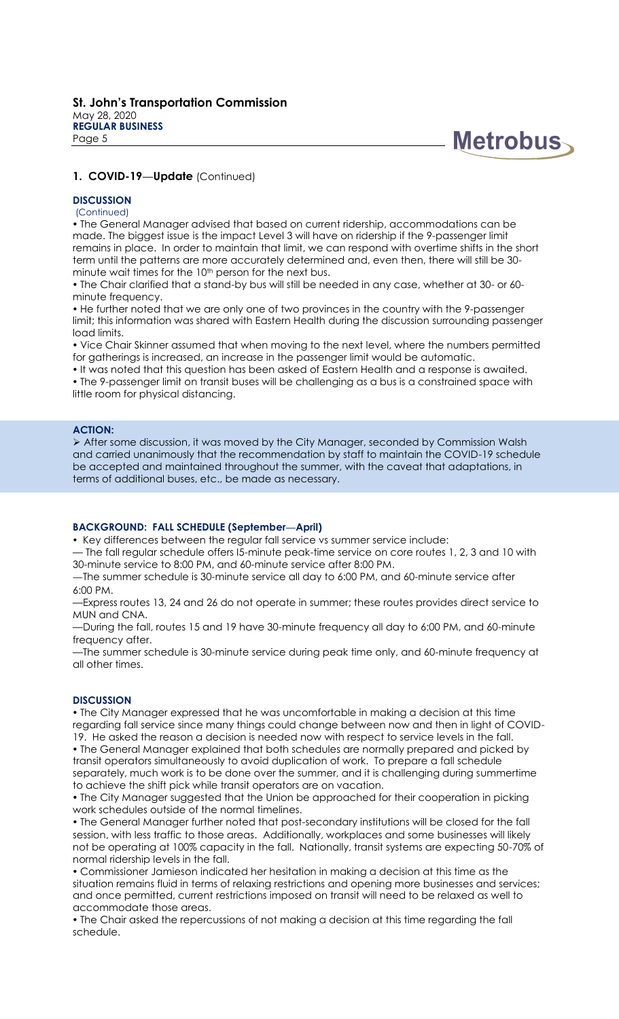

### **DISCUSSION**

(Continued)

 The General Manager advised that based on current ridership, accommodations can be made. The biggest issue is the impact Level 3 will have on ridership if the 9-passenger limit remains in place. In order to maintain that limit, we can respond with overtime shifts in the short term until the patterns are more accurately determined and, even then, there will still be 30 minute wait times for the 10<sup>th</sup> person for the next bus.

 The Chair clarified that a stand-by bus will still be needed in any case, whether at 30- or 60 minute frequency.

• He further noted that we are only one of two provinces in the country with the 9-passenger limit; this information was shared with Eastern Health during the discussion surrounding passenger load limits.

 Vice Chair Skinner assumed that when moving to the next level, where the numbers permitted for gatherings is increased, an increase in the passenger limit would be automatic.

. It was noted that this question has been asked of Eastern Health and a response is awaited. The 9-passenger limit on transit buses will be challenging as a bus is a constrained space with little room for physical distancing.

#### **ACTION:**

 After some discussion, it was moved by the City Manager, seconded by Commission Walsh and carried unanimously that the recommendation by staff to maintain the COVID-19 schedule be accepted and maintained throughout the summer, with the caveat that adaptations, in terms of additional buses, etc., be made as necessary.

#### **BACKGROUND: FALL SCHEDULE (September—April)**

• Key differences between the regular fall service vs summer service include:

— The fall regular schedule offers I5-minute peak-time service on core routes 1, 2, 3 and 10 with 30-minute service to 8:00 PM, and 60-minute service after 8:00 PM.

—The summer schedule is 30-minute service all day to 6:00 PM, and 60-minute service after 6:00 PM.

—Express routes 13, 24 and 26 do not operate in summer; these routes provides direct service to MUN and CNA.

—During the fall, routes 15 and 19 have 30-minute frequency all day to 6:00 PM, and 60-minute frequency after.

—The summer schedule is 30-minute service during peak time only, and 60-minute frequency at all other times.

#### **DISCUSSION**

 The City Manager expressed that he was uncomfortable in making a decision at this time regarding fall service since many things could change between now and then in light of COVID-19. He asked the reason a decision is needed now with respect to service levels in the fall.

 The General Manager explained that both schedules are normally prepared and picked by transit operators simultaneously to avoid duplication of work. To prepare a fall schedule separately, much work is to be done over the summer, and it is challenging during summertime to achieve the shift pick while transit operators are on vacation.

• The City Manager suggested that the Union be approached for their cooperation in picking work schedules outside of the normal timelines.

 The General Manager further noted that post-secondary institutions will be closed for the fall session, with less traffic to those areas. Additionally, workplaces and some businesses will likely not be operating at 100% capacity in the fall. Nationally, transit systems are expecting 50-70% of normal ridership levels in the fall.

 Commissioner Jamieson indicated her hesitation in making a decision at this time as the situation remains fluid in terms of relaxing restrictions and opening more businesses and services; and once permitted, current restrictions imposed on transit will need to be relaxed as well to accommodate those areas.

 The Chair asked the repercussions of not making a decision at this time regarding the fall schedule.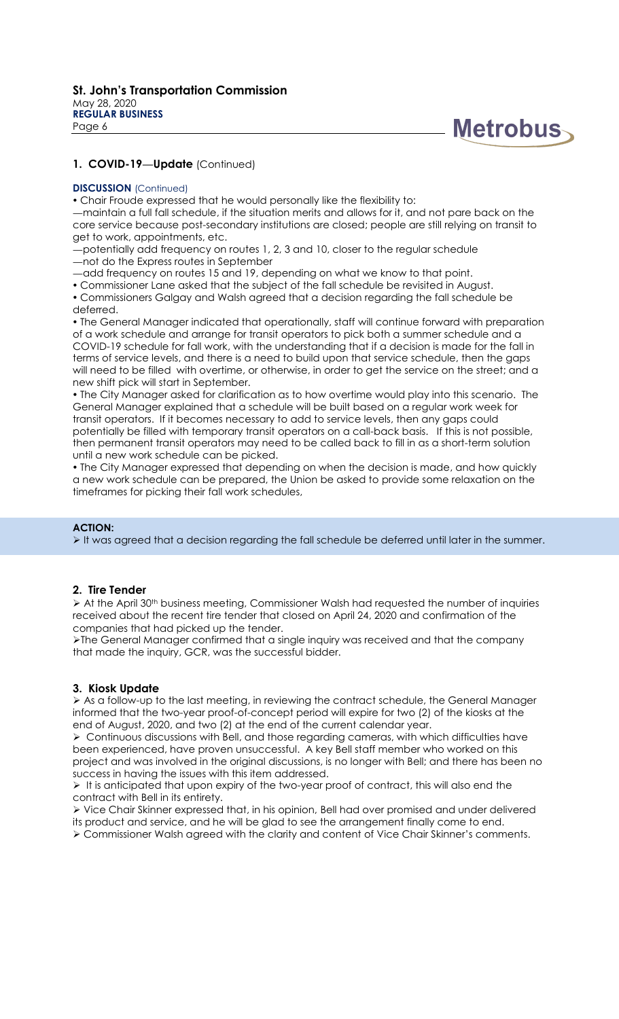

#### **DISCUSSION** (Continued)

Chair Froude expressed that he would personally like the flexibility to:

—maintain a full fall schedule, if the situation merits and allows for it, and not pare back on the core service because post-secondary institutions are closed; people are still relying on transit to get to work, appointments, etc.

—potentially add frequency on routes 1, 2, 3 and 10, closer to the regular schedule —not do the Express routes in September

—add frequency on routes 15 and 19, depending on what we know to that point.

Commissioner Lane asked that the subject of the fall schedule be revisited in August.

 Commissioners Galgay and Walsh agreed that a decision regarding the fall schedule be deferred.

 The General Manager indicated that operationally, staff will continue forward with preparation of a work schedule and arrange for transit operators to pick both a summer schedule and a COVID-19 schedule for fall work, with the understanding that if a decision is made for the fall in terms of service levels, and there is a need to build upon that service schedule, then the gaps will need to be filled with overtime, or otherwise, in order to get the service on the street; and a new shift pick will start in September.

 The City Manager asked for clarification as to how overtime would play into this scenario. The General Manager explained that a schedule will be built based on a regular work week for transit operators. If it becomes necessary to add to service levels, then any gaps could potentially be filled with temporary transit operators on a call-back basis. If this is not possible, then permanent transit operators may need to be called back to fill in as a short-term solution until a new work schedule can be picked.

 The City Manager expressed that depending on when the decision is made, and how quickly a new work schedule can be prepared, the Union be asked to provide some relaxation on the timeframes for picking their fall work schedules,

### **ACTION:**

It was agreed that a decision regarding the fall schedule be deferred until later in the summer.

### **2. Tire Tender**

 $\triangleright$  At the April 30<sup>th</sup> business meeting, Commissioner Walsh had requested the number of inquiries received about the recent tire tender that closed on April 24, 2020 and confirmation of the companies that had picked up the tender.

The General Manager confirmed that a single inquiry was received and that the company that made the inquiry, GCR, was the successful bidder.

# **3. Kiosk Update**

 As a follow-up to the last meeting, in reviewing the contract schedule, the General Manager informed that the two-year proof-of-concept period will expire for two (2) of the kiosks at the end of August, 2020, and two (2) at the end of the current calendar year.

 $\triangleright$  Continuous discussions with Bell, and those regarding cameras, with which difficulties have been experienced, have proven unsuccessful. A key Bell staff member who worked on this project and was involved in the original discussions, is no longer with Bell; and there has been no success in having the issues with this item addressed.

 $\triangleright$  It is anticipated that upon expiry of the two-year proof of contract, this will also end the contract with Bell in its entirety.

 Vice Chair Skinner expressed that, in his opinion, Bell had over promised and under delivered its product and service, and he will be glad to see the arrangement finally come to end.

Commissioner Walsh agreed with the clarity and content of Vice Chair Skinner's comments.